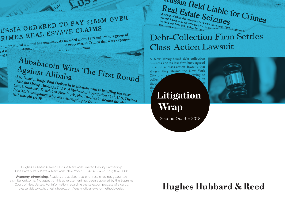### Thursday USSIA ORDERED TO PAY \$159M OVER USSIA ORDERED TO ITTLE CLAIMS<br>RIMEA REAL ESTATE CLAIMS RIMEA REAL ESTATE CLASSES million to a group of<br>in international tribunal has unanimously awarded about \$159 million to a group of<br>the properties in Crimea that were exproprily awarded about \$159 million to a group<br>and properties in Crimea that were expropri-

estment coneal e ted<sup>1</sup>

COVOL OF

nop-<br>se peninsula.

Alibabacoin Wins The First Round  $\operatorname*{Again}_{\mathcal{U}_S}$   $\operatorname*{Alib}_{\mathcal{U}_S}$ <br>Against Alibaba U.S. District Judge Paul Oetken in Manhattan who is handling the case:<br>Court, Southern District of New York, No. 18-02897", 1 Alibabacoin (ABBC) U.S. District Judge Paul Oetken in Manhattan who is handling the case:<br>Court, Southern District of New York, No. 18-02897" density and Alibabacoin (ABBC).<br>Alibabacoin (ABBC). Allbaba Group Holdings Ltd v. Alibabacoin who is handling the case<br>Jack Ma's companies who Wew York, No. 18-02897" denied the class<br>Alibabacoin (ABBC). Jack Ma's companies who were attempting to form a library of New York, No. 18-02897"<br>Alibabacoin (ABBC).

 $\text{Real }$ <br>  $\text{Real }$ <br>  $\text{Real }$ <br>  $\text{Beta}$   $\text{Beta}$  and  $\text{Beta}$   $\text{S}$ <br>  $\text{E}$ <br>  $\text{S}$ <br>  $\text{S}$ <br>  $\text{S}$ <br>  $\text{S}$ <br>  $\text{S}$ <br>  $\text{S}$ <br>  $\text{S}$ <br>  $\text{S}$ <br>  $\text{S}$ <br>  $\text{S}$ <br>  $\text{S}$ <br>  $\text{S}$ <br>  $\text{S}$ <br>  $\text{S}$ <br>  $\text{S}$ <br>  $\text{S}$ <br>  $\text{$  $\underset{\tiny \begin{array}{c} \text{A group of } U_k \text{raibal}}{\text{Real}} \text{B state} \ \text{Seizul} \ \text{S state} \ \text{Seizul} \ \text{A} \ \text{two} \ \text{the state} \ \text{S} \ \text{eizul} \ \text{the state} \ \text{the state} \ \text{the state} \ \text{the state} \ \text{the state} \ \text{two} \ \text{two} \ \text{two} \ \text{two} \ \text{two} \ \text{two} \ \text{two} \ \text{two} \ \text{two} \ \text{two} \ \text{two} \ \text{two} \ \text{two} \ \text{two} \ \text{two}$ A group of Ukrainian investors have won more than US\$159 million in A group of Ukrainian investors have won more than four years ago. the state has been held liable for the state where we also been held liable for the state.

### **Debt-Collection Firm Settles Class-Action Lawsuit**

A New Jersey-based debt-collection business and its law firm have agreed to settle a class-action lawsuit that alleged they abused the New York City civil co rying to

collect

thous tha

# **Litigation** Wrap

Second Quarter 2018



Hughes Hubbard & Reed LLP . A New York Limited Liability Partnership One Battery Park Plaza ● New York, New York 10004-1482 ● +1 (212) 837-6000

Attorney advertising. Readers are advised that prior results do not quarantee a similar outcome. No aspect of this advertisement has been approved by the Supreme Court of New Jersey. For information regarding the selection process of awards, please visit www.hugheshubbard.com/legal-notices-award-methodologies.

### **Hughes Hubbard & Reed**